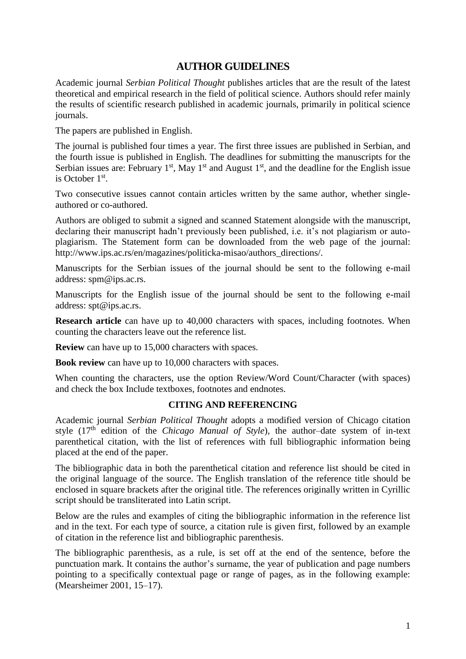# **AUTHOR GUIDELINES**

Academic journal *Serbian Political Thought* publishes articles that are the result of the latest theoretical and empirical research in the field of political science. Authors should refer mainly the results of scientific research published in academic journals, primarily in political science journals.

The papers are published in English.

The journal is published four times a year. The first three issues are published in Serbian, and the fourth issue is published in English. The deadlines for submitting the manuscripts for the Serbian issues are: February 1<sup>st</sup>, May 1<sup>st</sup> and August 1<sup>st</sup>, and the deadline for the English issue is October 1<sup>st</sup>.

Two consecutive issues cannot contain articles written by the same author, whether singleauthored or co-authored.

Authors are obliged to submit a signed and scanned Statement alongside with the manuscript, declaring their manuscript hadn't previously been published, i.e. it's not plagiarism or autoplagiarism. The Statement form can be downloaded from the web page of the journal: http://www.ips.ac.rs/en/magazines/politicka-misao/authors\_directions/.

Manuscripts for the Serbian issues of the journal should be sent to the following e-mail address: spm@ips.ac.rs.

Manuscripts for the English issue of the journal should be sent to the following e-mail address: spt@ips.ac.rs.

**Research article** can have up to 40,000 characters with spaces, including footnotes. When counting the characters leave out the reference list.

**Review** can have up to 15,000 characters with spaces.

**Book review** can have up to 10,000 characters with spaces.

When counting the characters, use the option Review/Word Count/Character (with spaces) and check the box Include textboxes, footnotes and endnotes.

# **CITING AND REFERENCING**

Academic journal *Serbian Political Thought* adopts a modified version of Chicago citation style (17th edition of the *Chicago Manual of Style*), the author–date system of in-text parenthetical citation, with the list of references with full bibliographic information being placed at the end of the paper.

The bibliographic data in both the parenthetical citation and reference list should be cited in the original language of the source. The English translation of the reference title should be enclosed in square brackets after the original title. The references originally written in Cyrillic script should be transliterated into Latin script.

Below are the rules and examples of citing the bibliographic information in the reference list and in the text. For each type of source, a citation rule is given first, followed by an example of citation in the reference list and bibliographic parenthesis.

The bibliographic parenthesis, as a rule, is set off at the end of the sentence, before the punctuation mark. It contains the author's surname, the year of publication and page numbers pointing to a specifically contextual page or range of pages, as in the following example: (Mearsheimer 2001, 15–17).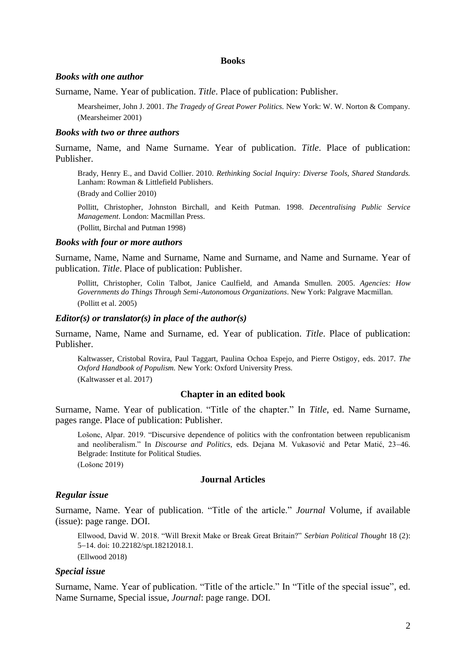### **Books**

### *Books with one author*

Surname, Name. Year of publication. *Title*. Place of publication: Publisher.

Mearsheimer, John J. 2001. *The Tragedy of Great Power Politics.* New York: W. W. Norton & Company. (Mearsheimer 2001)

### *Books with two or three authors*

Surname, Name, and Name Surname. Year of publication. *Title*. Place of publication: Publisher.

Brady, Henry E., and David Collier. 2010. *Rethinking Social Inquiry: Diverse Tools, Shared Standards.* Lanham: Rowman & Littlefield Publishers.

(Brady and Collier 2010)

Pollitt, Christopher, Johnston Birchall, and Keith Putman. 1998. *Decentralising Public Service Management*. London: Macmillan Press. (Pollitt, Birchal and Putman 1998)

### *Books with four or more authors*

Surname, Name, Name and Surname, Name and Surname, and Name and Surname. Year of publication. *Title*. Place of publication: Publisher.

Pollitt, Christopher, Colin Talbot, Janice Caulfield, and Amanda Smullen. 2005. *Agencies: How Governments do Things Through Semi-Autonomous Organizations*. New York: Palgrave Macmillan. (Pollitt et al. 2005)

### *Editor(s) or translator(s) in place of the author(s)*

Surname, Name, Name and Surname, ed. Year of publication. *Title*. Place of publication: Publisher.

Kaltwasser, Cristobal Rovira, Paul Taggart, Paulina Ochoa Espejo, and Pierre Ostigoy, eds. 2017. *The Oxford Handbook of Populism.* New York: Oxford University Press. (Kaltwasser et al. 2017)

## **Chapter in an edited book**

Surname, Name. Year of publication. "Title of the chapter." In *Title*, ed. Name Surname, pages range. Place of publication: Publisher.

Lošonc, Alpar. 2019. "Discursive dependence of politics with the confrontation between republicanism and neoliberalism." In *Discourse and Politics*, eds. Dejana M. Vukasović and Petar Matić, 23-46. Belgrade: Institute for Political Studies.

(Lošonc 2019)

# **Journal Articles**

# *Regular issue*

Surname, Name. Year of publication. "Title of the article." *Journal* Volume, if available (issue): page range. DOI.

Ellwood, David W. 2018. "Will Brexit Make or Break Great Britain?" *Serbian Political Thought* 18 (2): 5-14. doi: 10.22182/spt.18212018.1.

# (Ellwood 2018)

# *Special issue*

Surname, Name. Year of publication. "Title of the article." In "Title of the special issue", ed. Name Surname, Special issue, *Journal*: page range. DOI.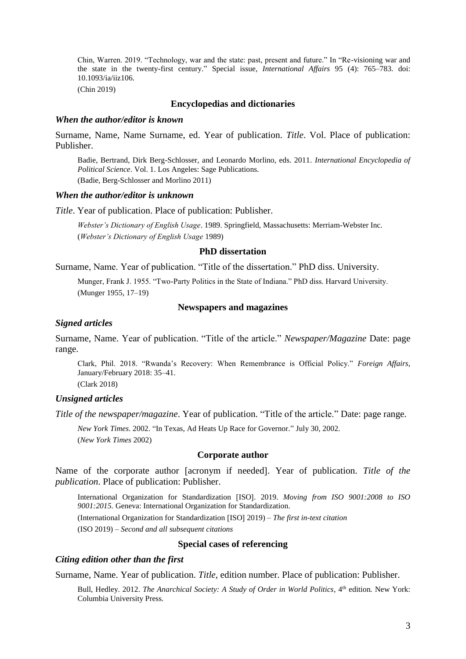Chin, Warren. 2019. "Technology, war and the state: past, present and future." In "Re-visioning war and the state in the twenty-first century." Special issue, *International Affairs* 95 (4): 765–783. doi: 10.1093/ia/iiz106.

(Chin 2019)

### **Encyclopedias and dictionaries**

#### *When the author/editor is known*

Surname, Name, Name Surname, ed. Year of publication. *Title*. Vol. Place of publication: Publisher.

Badie, Bertrand, Dirk Berg-Schlosser, and Leonardo Morlino, eds. 2011. *International Encyclopedia of Political Science*. Vol. 1. Los Angeles: Sage Publications. (Badie, Berg-Schlosser and Morlino 2011)

#### *When the author/editor is unknown*

*Title*. Year of publication. Place of publication: Publisher.

*Webster's Dictionary of English Usage*. 1989. Springfield, Massachusetts: Merriam-Webster Inc. (*Webster's Dictionary of English Usage* 1989)

### **PhD dissertation**

Surname, Name. Year of publication. "Title of the dissertation." PhD diss. University.

Munger, Frank J. 1955. "Two-Party Politics in the State of Indiana." PhD diss. Harvard University. (Munger 1955, 17–19)

#### **Newspapers and magazines**

### *Signed articles*

Surname, Name. Year of publication. "Title of the article." *Newspaper/Magazine* Date: page range.

Clark, Phil. 2018. "Rwanda's Recovery: When Remembrance is Official Policy." *Foreign Affairs*, January/February 2018: 35–41. (Clark 2018)

# *Unsigned articles*

*Title of the newspaper/magazine*. Year of publication. "Title of the article." Date: page range.

*New York Times*. 2002. "In Texas, Ad Heats Up Race for Governor." July 30, 2002. (*New York Times* 2002)

### **Corporate author**

Name of the corporate author [acronym if needed]. Year of publication. *Title of the publication*. Place of publication: Publisher.

International Organization for Standardization ISO. 2019. *Moving from ISO 9001:2008 to ISO 9001:2015.* Geneva: International Organization for Standardization.

(International Organization for Standardization [ISO] 2019) – *The first in-text citation* (ISO 2019) – *Second and all subsequent citations*

## **Special cases of referencing**

# *Citing edition other than the first*

Surname, Name. Year of publication. *Title*, edition number. Place of publication: Publisher.

Bull, Hedley. 2012. *The Anarchical Society: A Study of Order in World Politics*, 4<sup>th</sup> edition. New York: Columbia University Press.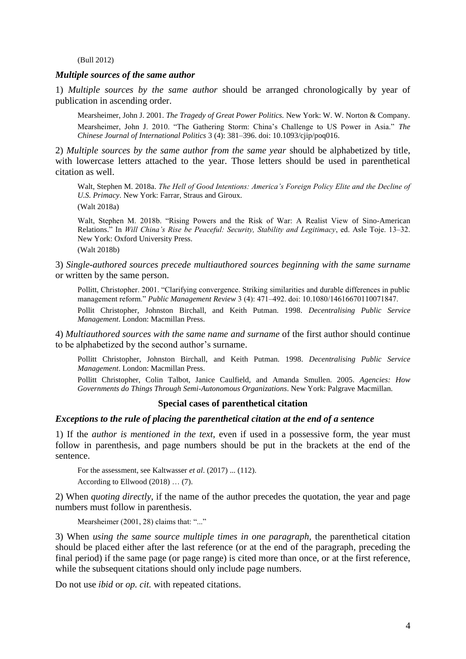(Bull 2012)

#### *Multiple sources of the same author*

1) *Multiple sources by the same author* should be arranged chronologically by year of publication in ascending order.

Mearsheimer, John J. 2001. *The Tragedy of Great Power Politics.* New York: W. W. Norton & Company. Mearsheimer, John J. 2010. "The Gathering Storm: China's Challenge to US Power in Asia." *The Chinese Journal of International Politics* 3 (4): 381–396. doi: 10.1093/cjip/poq016.

2) *Multiple sources by the same author from the same year* should be alphabetized by title, with lowercase letters attached to the year. Those letters should be used in parenthetical citation as well.

Walt, Stephen M. 2018a. *The Hell of Good Intentions: America's Foreign Policy Elite and the Decline of U.S. Primacy*. New York: Farrar, Straus and Giroux.

(Walt 2018a)

Walt, Stephen M. 2018b. "Rising Powers and the Risk of War: A Realist View of Sino-American Relations." In *Will China's Rise be Peaceful: Security, Stability and Legitimacy*, ed. Asle Toje. 13-32. New York: Oxford University Press.

(Walt 2018b)

3) *Single-authored sources precede multiauthored sources beginning with the same surname*  or written by the same person.

Pollitt, Christopher. 2001. "Clarifying convergence. Striking similarities and durable differences in public management reform." *Public Management Review* 3 (4): 471-492. doi: 10.1080/14616670110071847.

Pollit Christopher, Johnston Birchall, and Keith Putman. 1998. *Decentralising Public Service Management*. London: Macmillan Press.

4) *Multiauthored sources with the same name and surname* of the first author should continue to be alphabetized by the second author's surname.

Pollitt Christopher, Johnston Birchall, and Keith Putman. 1998. *Decentralising Public Service Management*. London: Macmillan Press.

Pollitt Christopher, Colin Talbot, Janice Caulfield, and Amanda Smullen. 2005. *Agencies: How Governments do Things Through Semi-Autonomous Organizations*. New York: Palgrave Macmillan.

## **Special cases of parenthetical citation**

#### *Exceptions to the rule of placing the parenthetical citation at the end of a sentence*

1) If the *author is mentioned in the text*, even if used in a possessive form, the year must follow in parenthesis, and page numbers should be put in the brackets at the end of the sentence.

For the assessment, see Kaltwasser *et al*. (2017) ... (112).

According to Ellwood (2018) … (7).

2) When *quoting directly*, if the name of the author precedes the quotation, the year and page numbers must follow in parenthesis.

Mearsheimer (2001, 28) claims that: "..."

3) When *using the same source multiple times in one paragraph*, the parenthetical citation should be placed either after the last reference (or at the end of the paragraph, preceding the final period) if the same page (or page range) is cited more than once, or at the first reference, while the subsequent citations should only include page numbers.

Do not use *ibid* or *op. cit.* with repeated citations.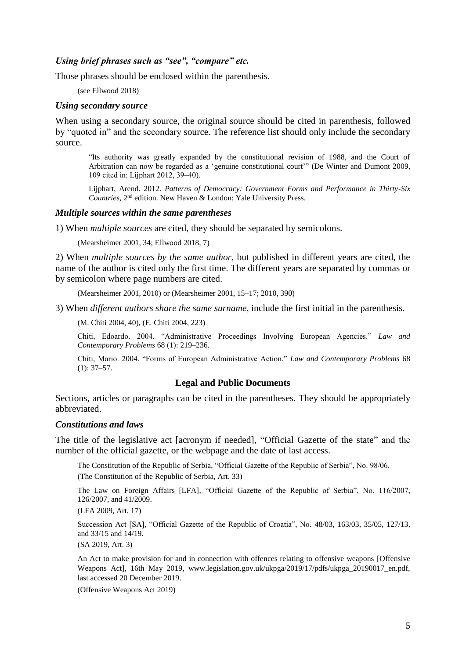## *Using brief phrases such as "see", "compare" etc.*

Those phrases should be enclosed within the parenthesis.

(see Ellwood 2018)

### *Using secondary source*

When using a secondary source, the original source should be cited in parenthesis, followed by "quoted in" and the secondary source. The reference list should only include the secondary source.

"Its authority was greatly expanded by the constitutional revision of 1988, and the Court of Arbitration can now be regarded as a 'genuine constitutional court'" (De Winter and Dumont 2009, 109 cited in: Lijphart 2012, 39–40).

Lijphart, Arend. 2012. *Patterns of Democracy: Government Forms and Performance in Thirty-Six Countries*, 2nd edition. New Haven & London: Yale University Press.

## *Multiple sources within the same parentheses*

1) When *multiple sources* are cited, they should be separated by semicolons.

(Mearsheimer 2001, 34; Ellwood 2018, 7)

2) When *multiple sources by the same author*, but published in different years are cited, the name of the author is cited only the first time. The different years are separated by commas or by semicolon where page numbers are cited.

(Mearsheimer 2001, 2010) or (Mearsheimer 2001, 15–17; 2010, 390)

3) When *different authors share the same surname*, include the first initial in the parenthesis.

(M. Chiti 2004, 40), (E. Chiti 2004, 223)

Chiti, Edoardo. 2004. "Administrative Proceedings Involving European Agencies." *Law and Contemporary Problems* 68 (1): 219–236.

Chiti, Mario. 2004. "Forms of European Administrative Action." *Law and Contemporary Problems* 68  $(1): 37-57.$ 

# **Legal and Public Documents**

Sections, articles or paragraphs can be cited in the parentheses. They should be appropriately abbreviated.

# *Constitutions and laws*

The title of the legislative act [acronym if needed], "Official Gazette of the state" and the number of the official gazette, or the webpage and the date of last access.

The Constitution of the Republic of Serbia, "Official Gazette of the Republic of Serbia", No. 98/06.

(The Constitution of the Republic of Serbia, Art. 33)

The Law on Foreign Affairs [LFA], "Official Gazette of the Republic of Serbia", No. 116/2007, 126/2007, and 41/2009.

(LFA 2009, Art. 17)

Succession Act [SA], "Official Gazette of the Republic of Croatia", No. 48/03, 163/03, 35/05, 127/13, and 33/15 and 14/19.

(SA 2019, Art. 3)

An Act to make provision for and in connection with offences relating to offensive weapons [Offensive Weapons Act], 16th May 2019, www.legislation.gov.uk/ukpga/2019/17/pdfs/ukpga\_20190017\_en.pdf, last accessed 20 December 2019.

(Offensive Weapons Act 2019)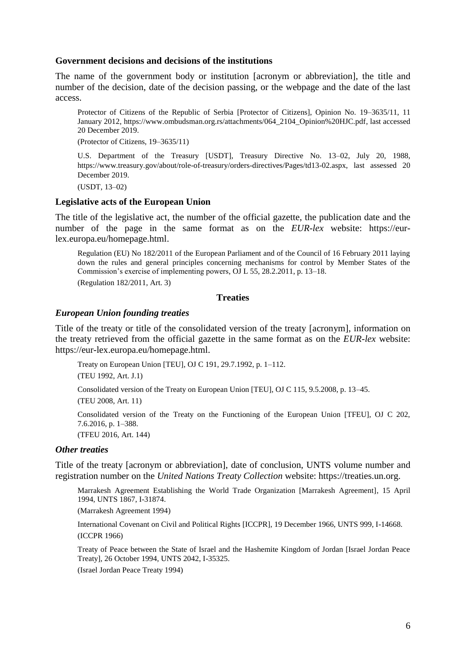# **Government decisions and decisions of the institutions**

The name of the government body or institution [acronym or abbreviation], the title and number of the decision, date of the decision passing, or the webpage and the date of the last access.

Protector of Citizens of the Republic of Serbia [Protector of Citizens], Opinion No. 19–3635/11, 11 January 2012, https://www.ombudsman.org.rs/attachments/064\_2104\_Opinion%20HJC.pdf, last accessed 20 December 2019.

(Protector of Citizens, 19–3635/11)

U.S. Department of the Treasury [USDT], Treasury Directive No. 13–02, July 20, 1988, https://www.treasury.gov/about/role-of-treasury/orders-directives/Pages/td13-02.aspx, last assessed 20 December 2019.

(USDT, 13–02)

### **Legislative acts of the European Union**

The title of the legislative act, the number of the official gazette, the publication date and the number of the page in the same format as on the *EUR-lex* website: https://eurlex.europa.eu/homepage.html.

Regulation (EU) No 182/2011 of the European Parliament and of the Council of 16 February 2011 laying down the rules and general principles concerning mechanisms for control by Member States of the Commission's exercise of implementing powers, OJ L 55, 28.2.2011, p. 13–18. (Regulation 182/2011, Art. 3)

**Treaties**

### *European Union founding treaties*

Title of the treaty or title of the consolidated version of the treaty [acronym], information on the treaty retrieved from the official gazette in the same format as on the *EUR-lex* website: https://eur-lex.europa.eu/homepage.html.

Treaty on European Union [TEU], OJ C 191, 29.7.1992, p. 1–112. (TEU 1992, Art. J.1) Consolidated version of the Treaty on European Union [TEU], OJ C 115, 9.5.2008, p. 13–45.

(TEU 2008, Art. 11)

Consolidated version of the Treaty on the Functioning of the European Union [TFEU], OJ C 202, 7.6.2016, p. 1–388.

(TFEU 2016, Art. 144)

## *Other treaties*

Title of the treaty [acronym or abbreviation], date of conclusion, UNTS volume number and registration number on the *United Nations Treaty Collection* website: https://treaties.un.org.

Marrakesh Agreement Establishing the World Trade Organization [Marrakesh Agreement], 15 April 1994, UNTS 1867, I-31874.

(Marrakesh Agreement 1994)

International Covenant on Civil and Political Rights [ICCPR], 19 December 1966, UNTS 999, I-14668. (ICCPR 1966)

Treaty of Peace between the State of Israel and the Hashemite Kingdom of Jordan [Israel Jordan Peace Treaty], 26 October 1994, UNTS 2042, I-35325.

(Israel Jordan Peace Treaty 1994)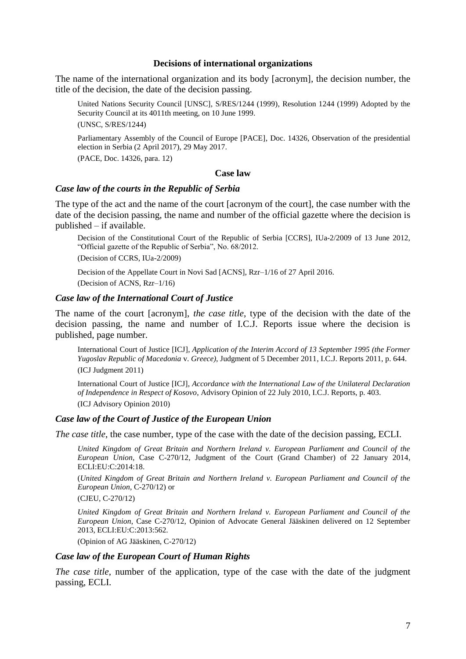#### **Decisions of international organizations**

The name of the international organization and its body [acronym], the decision number, the title of the decision, the date of the decision passing.

United Nations Security Council [UNSC], S/RES/1244 (1999), Resolution 1244 (1999) Adopted by the Security Council at its 4011th meeting, on 10 June 1999. (UNSC, S/RES/1244)

Parliamentary Assembly of the Council of Europe [PACE], Doc. 14326, Observation of the presidential election in Serbia (2 April 2017), 29 May 2017.

(PACE, Doc. 14326, para. 12)

#### **Case law**

### *Case law of the courts in the Republic of Serbia*

The type of the act and the name of the court [acronym of the court], the case number with the date of the decision passing, the name and number of the official gazette where the decision is published – if available.

Decision of the Constitutional Court of the Republic of Serbia [CCRS], IUa-2/2009 of 13 June 2012, "Official gazette of the Republic of Serbia", No. 68/2012.

(Decision of CCRS, IUa-2/2009)

Decision of the Appellate Court in Novi Sad [ACNS], Rzr–1/16 of 27 April 2016. (Decision of ACNS, Rzr–1/16)

#### *Case law of the International Court of Justice*

The name of the court [acronym], *the case title*, type of the decision with the date of the decision passing, the name and number of I.C.J. Reports issue where the decision is published, page number.

International Court of Justice [ICJ], *Application of the Interim Accord of 13 September 1995 (the Former Yugoslav Republic of Macedonia* v. *Greece)*, Judgment of 5 December 2011, I.C.J. Reports 2011, p. 644. (ICJ Judgment 2011)

International Court of Justice [ICJ], *Accordance with the International Law of the Unilateral Declaration of Independence in Respect of Kosovo*, Advisory Opinion of 22 July 2010, I.C.J. Reports, p. 403. (ICJ Advisory Opinion 2010)

### *Case law of the Court of Justice of the European Union*

*The case title*, the case number, type of the case with the date of the decision passing, ECLI.

*United Kingdom of Great Britain and Northern Ireland v. European Parliament and Council of the European Union*, Case C-270/12, Judgment of the Court (Grand Chamber) of 22 January 2014, ECLI:EU:C:2014:18.

(*United Kingdom of Great Britain and Northern Ireland v. European Parliament and Council of the European Union*, C-270/12) or

(CJEU, C-270/12)

*United Kingdom of Great Britain and Northern Ireland v. European Parliament and Council of the European Union*, Case C-270/12, Opinion of Advocate General Jääskinen delivered on 12 September 2013, ECLI:EU:C:2013:562.

(Opinion of AG Jääskinen, C-270/12)

### *Case law of the European Court of Human Rights*

*The case title*, number of the application, type of the case with the date of the judgment passing, ECLI.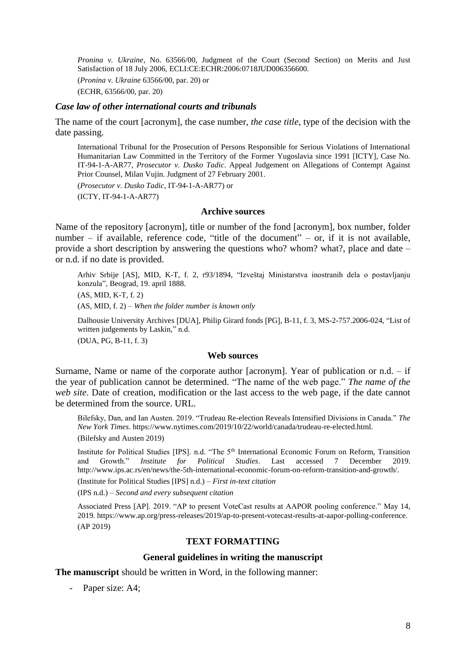*Pronina v. Ukraine*, No. 63566/00, Judgment of the Court (Second Section) on Merits and Just Satisfaction of 18 July 2006, ECLI:CE:ECHR:2006:0718JUD006356600.

(*Pronina v. Ukraine* 63566/00, par. 20) or

(ECHR, 63566/00, par. 20)

# *Case law of other international courts and tribunals*

The name of the court [acronym], the case number, *the case title*, type of the decision with the date passing.

International Tribunal for the Prosecution of Persons Responsible for Serious Violations of International Humanitarian Law Committed in the Territory of the Former Yugoslavia since 1991 [ICTY], Case No. IT-94-1-A-AR77, *Prosecutor v. Dusko Tadic*. Appeal Judgement on Allegations of Contempt Against Prior Counsel, Milan Vujin. Judgment of 27 February 2001.

(*Prosecutor v. Dusko Tadic*, IT-94-1-A-AR77) or

(ICTY, IT-94-1-A-AR77)

### **Archive sources**

Name of the repository [acronym], title or number of the fond [acronym], box number, folder number – if available, reference code, "title of the document" – or, if it is not available, provide a short description by answering the questions who? whom? what?, place and date – or n.d. if no date is provided.

Arhiv Srbije AS, MID, K-T, f. 2, r93/1894, "Izveštaj Ministarstva inostranih dela o postavljanju konzula", Beograd, 19. april 1888.

(AS, MID, K-T, f. 2)

(AS, MID, f. 2) – *When the folder number is known only*

Dalhousie University Archives [DUA], Philip Girard fonds [PG], B-11, f. 3, MS-2-757.2006-024, "List of written judgements by Laskin," n.d.

(DUA, PG, B-11, f. 3)

## **Web sources**

Surname, Name or name of the corporate author [acronym]. Year of publication or n.d. – if the year of publication cannot be determined. "The name of the web page." *The name of the web site*. Date of creation, modification or the last access to the web page, if the date cannot be determined from the source. URL.

Bilefsky, Dan, and Ian Austen. 2019. "Trudeau Re-election Reveals Intensified Divisions in Canada." *The New York Times*. https://www.nytimes.com/2019/10/22/world/canada/trudeau-re-elected.html. (Bilefsky and Austen 2019)

Institute for Political Studies [IPS]. n.d. "The 5<sup>th</sup> International Economic Forum on Reform, Transition and Growth." *Institute for Political Studies*. Last accessed 7 December 2019. http://www.ips.ac.rs/en/news/the-5th-international-economic-forum-on-reform-transition-and-growth/.

(Institute for Political Studies [IPS] n.d.) – *First in-text citation*

(IPS n.d.) – *Second and every subsequent citation*

Associated Press [AP]. 2019. "AP to present VoteCast results at AAPOR pooling conference." May 14, 2019. https://www.ap.org/press-releases/2019/ap-to-present-votecast-results-at-aapor-polling-conference. (AP 2019)

# **TEXT FORMATTING**

#### **General guidelines in writing the manuscript**

**The manuscript** should be written in Word, in the following manner:

- Paper size: A4;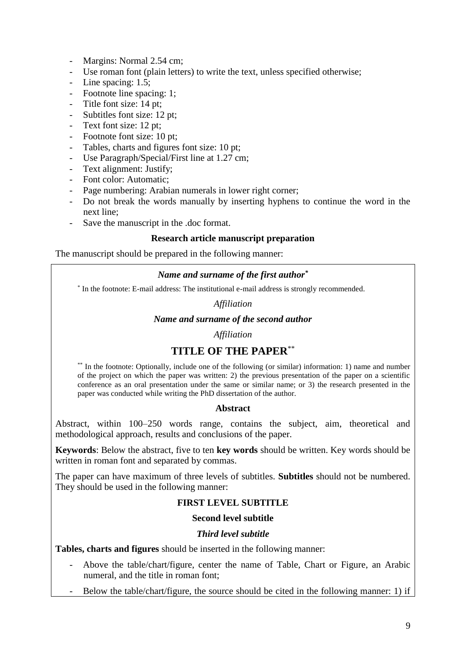- Margins: Normal 2.54 cm;
- Use roman font (plain letters) to write the text, unless specified otherwise;
- Line spacing: 1.5;
- Footnote line spacing: 1;
- Title font size: 14 pt;
- Subtitles font size: 12 pt;
- Text font size: 12 pt;
- Footnote font size: 10 pt;
- Tables, charts and figures font size: 10 pt;
- Use Paragraph/Special/First line at 1.27 cm;
- Text alignment: Justify;
- Font color: Automatic;
- Page numbering: Arabian numerals in lower right corner;
- Do not break the words manually by inserting hyphens to continue the word in the next line;
- Save the manuscript in the .doc format.

# **Research article manuscript preparation**

The manuscript should be prepared in the following manner:

# *Name and surname of the first author\**

\* In the footnote: E-mail address: The institutional e-mail address is strongly recommended.

# *Affiliation*

# *Name and surname of the second author*

*Affiliation*

# **TITLE OF THE PAPER**\*\*

\*\* In the footnote: Optionally, include one of the following (or similar) information: 1) name and number of the project on which the paper was written: 2) the previous presentation of the paper on a scientific conference as an oral presentation under the same or similar name; or 3) the research presented in the paper was conducted while writing the PhD dissertation of the author.

# **Abstract**

Abstract, within 100–250 words range, contains the subject, aim, theoretical and methodological approach, results and conclusions of the paper.

**Keywords**: Below the abstract, five to ten **key words** should be written. Key words should be written in roman font and separated by commas.

The paper can have maximum of three levels of subtitles. **Subtitles** should not be numbered. They should be used in the following manner:

# **FIRST LEVEL SUBTITLE**

# **Second level subtitle**

# *Third level subtitle*

**Tables, charts and figures** should be inserted in the following manner:

- Above the table/chart/figure, center the name of Table, Chart or Figure, an Arabic numeral, and the title in roman font;
- Below the table/chart/figure, the source should be cited in the following manner: 1) if